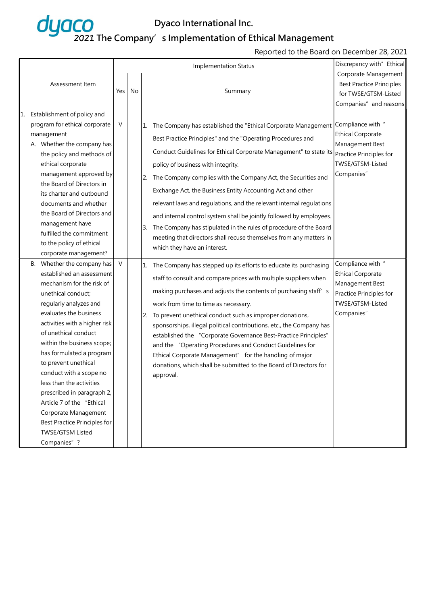

### 2021 The Company's Implementation of Ethical Management

#### Reported to the Board on December 28, 2021

|                 |                                                                                                                                                                                                                                                                                                                                                                                                                                                                                                                                                                                                                                                                   |                  |    |                | Discrepancy with" Ethical                                                                                                                                                                                                                                                                                                                                                                                                                                                                                                                                                                                                                                                                                                                                                                                                                                                                                                                                                                                                                                                                                                                                                                                                    |                                                                                                                                                                                                                                                                |
|-----------------|-------------------------------------------------------------------------------------------------------------------------------------------------------------------------------------------------------------------------------------------------------------------------------------------------------------------------------------------------------------------------------------------------------------------------------------------------------------------------------------------------------------------------------------------------------------------------------------------------------------------------------------------------------------------|------------------|----|----------------|------------------------------------------------------------------------------------------------------------------------------------------------------------------------------------------------------------------------------------------------------------------------------------------------------------------------------------------------------------------------------------------------------------------------------------------------------------------------------------------------------------------------------------------------------------------------------------------------------------------------------------------------------------------------------------------------------------------------------------------------------------------------------------------------------------------------------------------------------------------------------------------------------------------------------------------------------------------------------------------------------------------------------------------------------------------------------------------------------------------------------------------------------------------------------------------------------------------------------|----------------------------------------------------------------------------------------------------------------------------------------------------------------------------------------------------------------------------------------------------------------|
| Assessment Item |                                                                                                                                                                                                                                                                                                                                                                                                                                                                                                                                                                                                                                                                   | Yes              | No |                | Summary                                                                                                                                                                                                                                                                                                                                                                                                                                                                                                                                                                                                                                                                                                                                                                                                                                                                                                                                                                                                                                                                                                                                                                                                                      | Corporate Management<br><b>Best Practice Principles</b><br>for TWSE/GTSM-Listed<br>Companies" and reasons                                                                                                                                                      |
|                 | Establishment of policy and<br>program for ethical corporate<br>management<br>A. Whether the company has<br>the policy and methods of<br>ethical corporate<br>management approved by<br>the Board of Directors in<br>its charter and outbound<br>documents and whether<br>the Board of Directors and<br>management have<br>fulfilled the commitment<br>to the policy of ethical<br>corporate management?<br>B. Whether the company has<br>established an assessment<br>mechanism for the risk of<br>unethical conduct;<br>regularly analyzes and<br>evaluates the business<br>activities with a higher risk<br>of unethical conduct<br>within the business scope; | $\vee$<br>$\vee$ |    | 2.<br>3.<br>2. | 1. The Company has established the "Ethical Corporate Management<br>Best Practice Principles" and the "Operating Procedures and<br>Conduct Guidelines for Ethical Corporate Management" to state its<br>policy of business with integrity.<br>The Company complies with the Company Act, the Securities and<br>Exchange Act, the Business Entity Accounting Act and other<br>relevant laws and regulations, and the relevant internal regulations<br>and internal control system shall be jointly followed by employees.<br>The Company has stipulated in the rules of procedure of the Board<br>meeting that directors shall recuse themselves from any matters in<br>which they have an interest.<br>1. The Company has stepped up its efforts to educate its purchasing<br>staff to consult and compare prices with multiple suppliers when<br>making purchases and adjusts the contents of purchasing staff's<br>work from time to time as necessary.<br>To prevent unethical conduct such as improper donations,<br>sponsorships, illegal political contributions, etc., the Company has<br>established the "Corporate Governance Best-Practice Principles"<br>and the "Operating Procedures and Conduct Guidelines for | Compliance with "<br><b>Ethical Corporate</b><br>Management Best<br>Practice Principles for<br>TWSE/GTSM-Listed<br>Companies"<br>Compliance with "<br><b>Ethical Corporate</b><br>Management Best<br>Practice Principles for<br>TWSE/GTSM-Listed<br>Companies" |
|                 | has formulated a program<br>to prevent unethical<br>conduct with a scope no<br>less than the activities<br>prescribed in paragraph 2,<br>Article 7 of the "Ethical<br>Corporate Management<br>Best Practice Principles for<br>TWSE/GTSM Listed<br>Companies" ?                                                                                                                                                                                                                                                                                                                                                                                                    |                  |    |                | Ethical Corporate Management" for the handling of major<br>donations, which shall be submitted to the Board of Directors for<br>approval.                                                                                                                                                                                                                                                                                                                                                                                                                                                                                                                                                                                                                                                                                                                                                                                                                                                                                                                                                                                                                                                                                    |                                                                                                                                                                                                                                                                |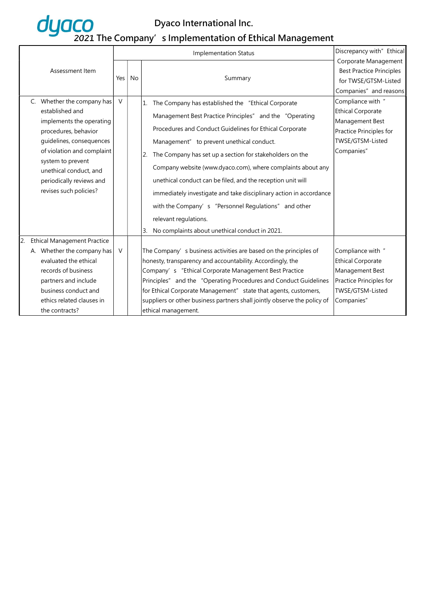

|  |                                                                                                                                                                                                                                                                                     |                 |           | <b>Implementation Status</b>                                                                                                                                                                                                                                                                                                                                                                                                                                                                                                                                                                                                                 | Discrepancy with" Ethical                                                                                                                                                                                                                  |
|--|-------------------------------------------------------------------------------------------------------------------------------------------------------------------------------------------------------------------------------------------------------------------------------------|-----------------|-----------|----------------------------------------------------------------------------------------------------------------------------------------------------------------------------------------------------------------------------------------------------------------------------------------------------------------------------------------------------------------------------------------------------------------------------------------------------------------------------------------------------------------------------------------------------------------------------------------------------------------------------------------------|--------------------------------------------------------------------------------------------------------------------------------------------------------------------------------------------------------------------------------------------|
|  | Assessment Item<br>C. Whether the company has<br>established and<br>implements the operating<br>procedures, behavior<br>guidelines, consequences<br>of violation and complaint<br>system to prevent<br>unethical conduct, and<br>periodically reviews and<br>revises such policies? | Yes  <br>$\vee$ | <b>No</b> | Summary<br>1. The Company has established the "Ethical Corporate<br>Management Best Practice Principles" and the "Operating<br>Procedures and Conduct Guidelines for Ethical Corporate<br>Management" to prevent unethical conduct.<br>The Company has set up a section for stakeholders on the<br>Company website (www.dyaco.com), where complaints about any<br>unethical conduct can be filed, and the reception unit will<br>immediately investigate and take disciplinary action in accordance<br>with the Company's "Personnel Regulations" and other<br>relevant regulations.<br>No complaints about unethical conduct in 2021.<br>3. | Corporate Management<br><b>Best Practice Principles</b><br>for TWSE/GTSM-Listed<br>Companies" and reasons<br>Compliance with "<br><b>Ethical Corporate</b><br>Management Best<br>Practice Principles for<br>TWSE/GTSM-Listed<br>Companies" |
|  | <b>Ethical Management Practice</b><br>A. Whether the company has<br>evaluated the ethical<br>records of business<br>partners and include<br>business conduct and<br>ethics related clauses in<br>the contracts?                                                                     | $\vee$          |           | The Company's business activities are based on the principles of<br>honesty, transparency and accountability. Accordingly, the<br>Company's "Ethical Corporate Management Best Practice<br>Principles" and the "Operating Procedures and Conduct Guidelines<br>for Ethical Corporate Management" state that agents, customers,<br>suppliers or other business partners shall jointly observe the policy of<br>ethical management.                                                                                                                                                                                                            | Compliance with "<br><b>Ethical Corporate</b><br>Management Best<br>Practice Principles for<br>TWSE/GTSM-Listed<br>Companies"                                                                                                              |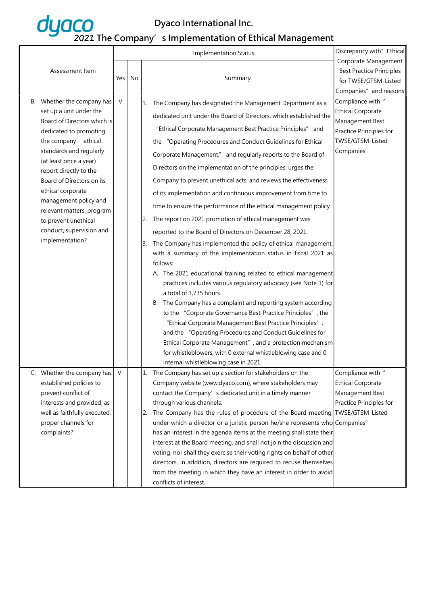|  | Assessment Item                                                                                                                                                                                                                                                                                                                                                                                      |        |    |    | <b>Implementation Status</b>                                                                                                                                                                                                                                                                                                                                                                                                                                                                                                                                                                                                                                                                                                                                                                                                                                                                                                                                                                                                                                                                                                                                                                                                                                                                                                                                                                                                                                                             | Discrepancy with" Ethical                                                                                                     |
|--|------------------------------------------------------------------------------------------------------------------------------------------------------------------------------------------------------------------------------------------------------------------------------------------------------------------------------------------------------------------------------------------------------|--------|----|----|------------------------------------------------------------------------------------------------------------------------------------------------------------------------------------------------------------------------------------------------------------------------------------------------------------------------------------------------------------------------------------------------------------------------------------------------------------------------------------------------------------------------------------------------------------------------------------------------------------------------------------------------------------------------------------------------------------------------------------------------------------------------------------------------------------------------------------------------------------------------------------------------------------------------------------------------------------------------------------------------------------------------------------------------------------------------------------------------------------------------------------------------------------------------------------------------------------------------------------------------------------------------------------------------------------------------------------------------------------------------------------------------------------------------------------------------------------------------------------------|-------------------------------------------------------------------------------------------------------------------------------|
|  |                                                                                                                                                                                                                                                                                                                                                                                                      | Yes    | No |    | Summary                                                                                                                                                                                                                                                                                                                                                                                                                                                                                                                                                                                                                                                                                                                                                                                                                                                                                                                                                                                                                                                                                                                                                                                                                                                                                                                                                                                                                                                                                  | Corporate Management<br><b>Best Practice Principles</b><br>for TWSE/GTSM-Listed<br>Companies" and reasons                     |
|  | B. Whether the company has<br>set up a unit under the<br>Board of Directors which is<br>dedicated to promoting<br>the company' ethical<br>standards and regularly<br>(at least once a year)<br>report directly to the<br>Board of Directors on its<br>ethical corporate<br>management policy and<br>relevant matters, program<br>to prevent unethical<br>conduct, supervision and<br>implementation? | $\vee$ |    | 3. | 1. The Company has designated the Management Department as a<br>dedicated unit under the Board of Directors, which established the<br>"Ethical Corporate Management Best Practice Principles" and<br>the "Operating Procedures and Conduct Guidelines for Ethical<br>Corporate Management," and regularly reports to the Board of<br>Directors on the implementation of the principles, urges the<br>Company to prevent unethical acts, and reviews the effectiveness<br>of its implementation and continuous improvement from time to<br>time to ensure the performance of the ethical management policy.<br>$\vert$ 2. The report on 2021 promotion of ethical management was<br>reported to the Board of Directors on December 28, 2021.<br>The Company has implemented the policy of ethical management,<br>with a summary of the implementation status in fiscal 2021 as<br>follows:<br>A. The 2021 educational training related to ethical management<br>practices includes various regulatory advocacy (see Note 1) for<br>a total of 1,735 hours.<br>B. The Company has a complaint and reporting system according<br>to the "Corporate Governance Best-Practice Principles", the<br>"Ethical Corporate Management Best Practice Principles",<br>and the "Operating Procedures and Conduct Guidelines for<br>Ethical Corporate Management", and a protection mechanism<br>for whistleblowers, with 0 external whistleblowing case and 0<br>internal whistleblowing case in 2021. | Compliance with "<br><b>Ethical Corporate</b><br>Management Best<br>Practice Principles for<br>TWSE/GTSM-Listed<br>Companies" |
|  | C. Whether the company has $\mid$ V<br>established policies to<br>prevent conflict of<br>interests and provided, as<br>well as faithfully executed,<br>proper channels for<br>complaints?                                                                                                                                                                                                            |        |    |    | 1. The Company has set up a section for stakeholders on the<br>Company website (www.dyaco.com), where stakeholders may<br>contact the Company's dedicated unit in a timely manner<br>through various channels.<br>2. The Company has the rules of procedure of the Board meeting, TWSE/GTSM-Listed<br>under which a director or a juristic person he/she represents who Companies"<br>has an interest in the agenda items at the meeting shall state their<br>interest at the Board meeting, and shall not join the discussion and<br>voting, nor shall they exercise their voting rights on behalf of other<br>directors. In addition, directors are required to recuse themselves<br>from the meeting in which they have an interest in order to avoid<br>conflicts of interest.                                                                                                                                                                                                                                                                                                                                                                                                                                                                                                                                                                                                                                                                                                       | Compliance with "<br><b>Ethical Corporate</b><br>Management Best<br>Practice Principles for                                   |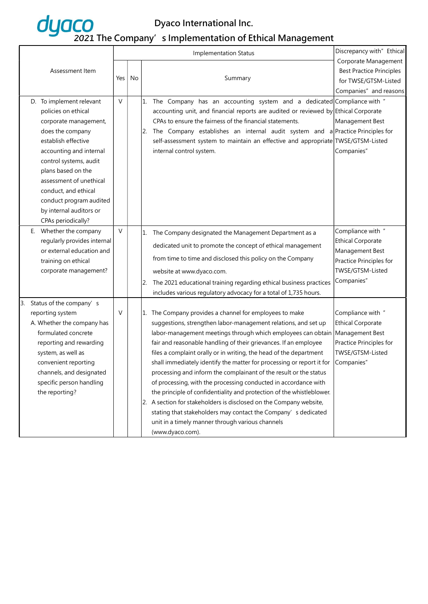

|                 |                             |        | <b>Implementation Status</b> |    | Discrepancy with" Ethical                                                           |                                 |
|-----------------|-----------------------------|--------|------------------------------|----|-------------------------------------------------------------------------------------|---------------------------------|
|                 |                             |        |                              |    |                                                                                     | Corporate Management            |
| Assessment Item |                             |        |                              |    |                                                                                     | <b>Best Practice Principles</b> |
|                 |                             | Yes    | No                           |    | Summary                                                                             | for TWSE/GTSM-Listed            |
|                 |                             |        |                              |    |                                                                                     | Companies" and reasons          |
|                 | D. To implement relevant    | $\vee$ |                              |    | 1. The Company has an accounting system and a dedicated Compliance with "           |                                 |
|                 | policies on ethical         |        |                              |    | accounting unit, and financial reports are audited or reviewed by Ethical Corporate |                                 |
|                 | corporate management,       |        |                              |    | CPAs to ensure the fairness of the financial statements.                            | Management Best                 |
|                 | does the company            |        |                              | 2. | The Company establishes an internal audit system and a Practice Principles for      |                                 |
|                 | establish effective         |        |                              |    | self-assessment system to maintain an effective and appropriate TWSE/GTSM-Listed    |                                 |
|                 | accounting and internal     |        |                              |    | internal control system.                                                            | Companies"                      |
|                 | control systems, audit      |        |                              |    |                                                                                     |                                 |
|                 | plans based on the          |        |                              |    |                                                                                     |                                 |
|                 | assessment of unethical     |        |                              |    |                                                                                     |                                 |
|                 | conduct, and ethical        |        |                              |    |                                                                                     |                                 |
|                 | conduct program audited     |        |                              |    |                                                                                     |                                 |
|                 | by internal auditors or     |        |                              |    |                                                                                     |                                 |
|                 | CPAs periodically?          |        |                              |    |                                                                                     |                                 |
|                 | E. Whether the company      | $\vee$ |                              |    | 1. The Company designated the Management Department as a                            | Compliance with "               |
|                 | regularly provides internal |        |                              |    |                                                                                     | <b>Ethical Corporate</b>        |
|                 | or external education and   |        |                              |    | dedicated unit to promote the concept of ethical management                         | Management Best                 |
|                 | training on ethical         |        |                              |    | from time to time and disclosed this policy on the Company                          | Practice Principles for         |
|                 | corporate management?       |        |                              |    | website at www.dyaco.com.                                                           | TWSE/GTSM-Listed                |
|                 |                             |        |                              | 2. | The 2021 educational training regarding ethical business practices                  | Companies"                      |
|                 |                             |        |                              |    | includes various regulatory advocacy for a total of 1,735 hours.                    |                                 |
|                 | 3. Status of the company's  |        |                              |    |                                                                                     |                                 |
|                 | reporting system            | $\vee$ |                              |    | 1. The Company provides a channel for employees to make                             | Compliance with "               |
|                 | A. Whether the company has  |        |                              |    | suggestions, strengthen labor-management relations, and set up                      | <b>Ethical Corporate</b>        |
|                 | formulated concrete         |        |                              |    | labor-management meetings through which employees can obtain                        | Management Best                 |
|                 | reporting and rewarding     |        |                              |    | fair and reasonable handling of their grievances. If an employee                    | Practice Principles for         |
|                 | system, as well as          |        |                              |    | files a complaint orally or in writing, the head of the department                  | TWSE/GTSM-Listed                |
|                 | convenient reporting        |        |                              |    | shall immediately identify the matter for processing or report it for               | Companies"                      |
|                 | channels, and designated    |        |                              |    | processing and inform the complainant of the result or the status                   |                                 |
|                 | specific person handling    |        |                              |    | of processing, with the processing conducted in accordance with                     |                                 |
|                 | the reporting?              |        |                              |    | the principle of confidentiality and protection of the whistleblower.               |                                 |
|                 |                             |        |                              |    | 2. A section for stakeholders is disclosed on the Company website,                  |                                 |
|                 |                             |        |                              |    | stating that stakeholders may contact the Company's dedicated                       |                                 |
|                 |                             |        |                              |    | unit in a timely manner through various channels                                    |                                 |
|                 |                             |        |                              |    | (www.dyaco.com).                                                                    |                                 |
|                 |                             |        |                              |    |                                                                                     |                                 |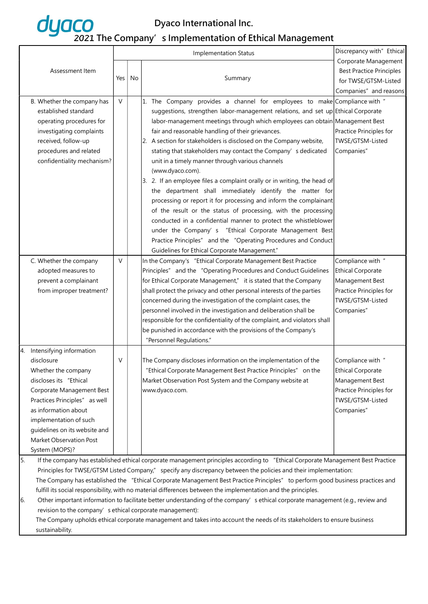|                 |                                                                                                                                                                                                                                                    |        |    | <b>Implementation Status</b>                                                                                                     | Discrepancy with" Ethical       |  |
|-----------------|----------------------------------------------------------------------------------------------------------------------------------------------------------------------------------------------------------------------------------------------------|--------|----|----------------------------------------------------------------------------------------------------------------------------------|---------------------------------|--|
| Assessment Item |                                                                                                                                                                                                                                                    |        |    |                                                                                                                                  | Corporate Management            |  |
|                 |                                                                                                                                                                                                                                                    |        |    |                                                                                                                                  | <b>Best Practice Principles</b> |  |
|                 |                                                                                                                                                                                                                                                    | Yes    | No | Summary                                                                                                                          | for TWSE/GTSM-Listed            |  |
|                 |                                                                                                                                                                                                                                                    |        |    |                                                                                                                                  | Companies" and reasons          |  |
|                 | B. Whether the company has                                                                                                                                                                                                                         | $\vee$ |    | 1. The Company provides a channel for employees to make Compliance with "                                                        |                                 |  |
|                 | established standard                                                                                                                                                                                                                               |        |    | suggestions, strengthen labor-management relations, and set up Ethical Corporate                                                 |                                 |  |
|                 | operating procedures for                                                                                                                                                                                                                           |        |    | labor-management meetings through which employees can obtain Management Best                                                     |                                 |  |
|                 | investigating complaints                                                                                                                                                                                                                           |        |    | fair and reasonable handling of their grievances.                                                                                | Practice Principles for         |  |
|                 | received, follow-up                                                                                                                                                                                                                                |        |    | 2. A section for stakeholders is disclosed on the Company website,                                                               | TWSE/GTSM-Listed                |  |
|                 | procedures and related                                                                                                                                                                                                                             |        |    | stating that stakeholders may contact the Company's dedicated                                                                    | Companies"                      |  |
|                 | confidentiality mechanism?                                                                                                                                                                                                                         |        |    | unit in a timely manner through various channels                                                                                 |                                 |  |
|                 |                                                                                                                                                                                                                                                    |        |    | (www.dyaco.com).                                                                                                                 |                                 |  |
|                 |                                                                                                                                                                                                                                                    |        |    | 3. 2. If an employee files a complaint orally or in writing, the head of                                                         |                                 |  |
|                 |                                                                                                                                                                                                                                                    |        |    | the department shall immediately identify the matter for                                                                         |                                 |  |
|                 |                                                                                                                                                                                                                                                    |        |    | processing or report it for processing and inform the complainant                                                                |                                 |  |
|                 |                                                                                                                                                                                                                                                    |        |    | of the result or the status of processing, with the processing                                                                   |                                 |  |
|                 |                                                                                                                                                                                                                                                    |        |    | conducted in a confidential manner to protect the whistleblower                                                                  |                                 |  |
|                 |                                                                                                                                                                                                                                                    |        |    | under the Company' s "Ethical Corporate Management Best                                                                          |                                 |  |
|                 |                                                                                                                                                                                                                                                    |        |    | Practice Principles" and the "Operating Procedures and Conduct                                                                   |                                 |  |
|                 |                                                                                                                                                                                                                                                    | $\vee$ |    | Guidelines for Ethical Corporate Management."                                                                                    | Compliance with "               |  |
|                 | C. Whether the company<br>adopted measures to                                                                                                                                                                                                      |        |    | In the Company's "Ethical Corporate Management Best Practice<br>Principles" and the "Operating Procedures and Conduct Guidelines | <b>Ethical Corporate</b>        |  |
|                 | prevent a complainant                                                                                                                                                                                                                              |        |    | for Ethical Corporate Management," it is stated that the Company                                                                 | Management Best                 |  |
|                 | from improper treatment?                                                                                                                                                                                                                           |        |    | shall protect the privacy and other personal interests of the parties                                                            | Practice Principles for         |  |
|                 |                                                                                                                                                                                                                                                    |        |    | concerned during the investigation of the complaint cases, the                                                                   | TWSE/GTSM-Listed                |  |
|                 |                                                                                                                                                                                                                                                    |        |    | personnel involved in the investigation and deliberation shall be                                                                | Companies"                      |  |
|                 |                                                                                                                                                                                                                                                    |        |    | responsible for the confidentiality of the complaint, and violators shall                                                        |                                 |  |
|                 |                                                                                                                                                                                                                                                    |        |    | be punished in accordance with the provisions of the Company's                                                                   |                                 |  |
|                 |                                                                                                                                                                                                                                                    |        |    | "Personnel Regulations."                                                                                                         |                                 |  |
|                 | 4. Intensifying information                                                                                                                                                                                                                        |        |    |                                                                                                                                  |                                 |  |
|                 | disclosure                                                                                                                                                                                                                                         | V      |    | The Company discloses information on the implementation of the                                                                   | Compliance with "               |  |
|                 | Whether the company                                                                                                                                                                                                                                |        |    | "Ethical Corporate Management Best Practice Principles" on the                                                                   | <b>Ethical Corporate</b>        |  |
|                 | discloses its "Ethical                                                                                                                                                                                                                             |        |    | Market Observation Post System and the Company website at                                                                        | Management Best                 |  |
|                 | Corporate Management Best                                                                                                                                                                                                                          |        |    | www.dyaco.com.                                                                                                                   | Practice Principles for         |  |
|                 | Practices Principles" as well                                                                                                                                                                                                                      |        |    |                                                                                                                                  | TWSE/GTSM-Listed                |  |
|                 | as information about                                                                                                                                                                                                                               |        |    |                                                                                                                                  | Companies"                      |  |
|                 | implementation of such                                                                                                                                                                                                                             |        |    |                                                                                                                                  |                                 |  |
|                 | guidelines on its website and                                                                                                                                                                                                                      |        |    |                                                                                                                                  |                                 |  |
|                 | Market Observation Post                                                                                                                                                                                                                            |        |    |                                                                                                                                  |                                 |  |
|                 | System (MOPS)?                                                                                                                                                                                                                                     |        |    |                                                                                                                                  |                                 |  |
| 5.              |                                                                                                                                                                                                                                                    |        |    | If the company has established ethical corporate management principles according to "Ethical Corporate Management Best Practice  |                                 |  |
|                 | Principles for TWSE/GTSM Listed Company," specify any discrepancy between the policies and their implementation:<br>The Company has established the "Ethical Corporate Management Best Practice Principles" to perform good business practices and |        |    |                                                                                                                                  |                                 |  |
|                 | fulfill its social responsibility, with no material differences between the implementation and the principles.                                                                                                                                     |        |    |                                                                                                                                  |                                 |  |
| 6.              |                                                                                                                                                                                                                                                    |        |    | Other important information to facilitate better understanding of the company's ethical corporate management (e.g., review and   |                                 |  |
|                 | revision to the company's ethical corporate management):                                                                                                                                                                                           |        |    |                                                                                                                                  |                                 |  |
|                 |                                                                                                                                                                                                                                                    |        |    | The Company upholds ethical corporate management and takes into account the needs of its stakeholders to ensure business         |                                 |  |
|                 | sustainability.                                                                                                                                                                                                                                    |        |    |                                                                                                                                  |                                 |  |